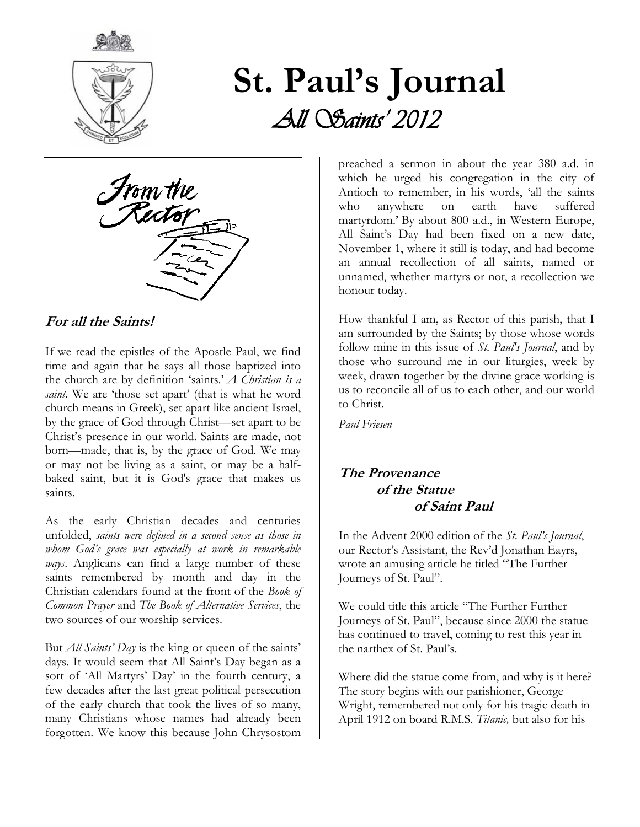

# **St. Paul's Journal**  *All Saints' 2012*



#### **For all the Saints!**

If we read the epistles of the Apostle Paul, we find time and again that he says all those baptized into the church are by definition 'saints.' *A Christian is a saint*. We are 'those set apart' (that is what he word church means in Greek), set apart like ancient Israel, by the grace of God through Christ—set apart to be Christ's presence in our world. Saints are made, not born—made, that is, by the grace of God. We may or may not be living as a saint, or may be a halfbaked saint, but it is God's grace that makes us saints.

As the early Christian decades and centuries unfolded, *saints were defined in a second sense as those in whom God's grace was especially at work in remarkable ways*. Anglicans can find a large number of these saints remembered by month and day in the Christian calendars found at the front of the *Book of Common Prayer* and *The Book of Alternative Services*, the two sources of our worship services.

But *All Saints' Day* is the king or queen of the saints' days. It would seem that All Saint's Day began as a sort of 'All Martyrs' Day' in the fourth century, a few decades after the last great political persecution of the early church that took the lives of so many, many Christians whose names had already been forgotten. We know this because John Chrysostom preached a sermon in about the year 380 a.d. in which he urged his congregation in the city of Antioch to remember, in his words, 'all the saints who anywhere on earth have suffered martyrdom.' By about 800 a.d., in Western Europe, All Saint's Day had been fixed on a new date, November 1, where it still is today, and had become an annual recollection of all saints, named or unnamed, whether martyrs or not, a recollection we honour today.

How thankful I am, as Rector of this parish, that I am surrounded by the Saints; by those whose words follow mine in this issue of *St. Paul's Journal*, and by those who surround me in our liturgies, week by week, drawn together by the divine grace working is us to reconcile all of us to each other, and our world to Christ.

*Paul Friesen* 

#### **The Provenance of the Statue of Saint Paul**

In the Advent 2000 edition of the *St. Paul's Journal*, our Rector's Assistant, the Rev'd Jonathan Eayrs, wrote an amusing article he titled "The Further Journeys of St. Paul".

We could title this article "The Further Further Journeys of St. Paul", because since 2000 the statue has continued to travel, coming to rest this year in the narthex of St. Paul's.

Where did the statue come from, and why is it here? The story begins with our parishioner, George Wright, remembered not only for his tragic death in April 1912 on board R.M.S. *Titanic,* but also for his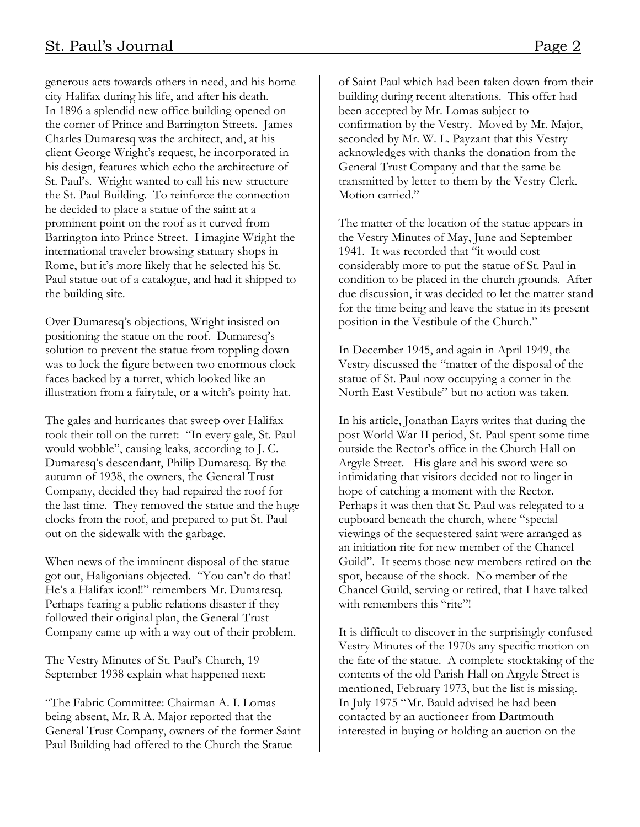generous acts towards others in need, and his home city Halifax during his life, and after his death. In 1896 a splendid new office building opened on the corner of Prince and Barrington Streets. James Charles Dumaresq was the architect, and, at his client George Wright's request, he incorporated in his design, features which echo the architecture of St. Paul's. Wright wanted to call his new structure the St. Paul Building. To reinforce the connection he decided to place a statue of the saint at a prominent point on the roof as it curved from Barrington into Prince Street. I imagine Wright the international traveler browsing statuary shops in Rome, but it's more likely that he selected his St. Paul statue out of a catalogue, and had it shipped to the building site.

Over Dumaresq's objections, Wright insisted on positioning the statue on the roof. Dumaresq's solution to prevent the statue from toppling down was to lock the figure between two enormous clock faces backed by a turret, which looked like an illustration from a fairytale, or a witch's pointy hat.

The gales and hurricanes that sweep over Halifax took their toll on the turret: "In every gale, St. Paul would wobble", causing leaks, according to J. C. Dumaresq's descendant, Philip Dumaresq. By the autumn of 1938, the owners, the General Trust Company, decided they had repaired the roof for the last time. They removed the statue and the huge clocks from the roof, and prepared to put St. Paul out on the sidewalk with the garbage.

When news of the imminent disposal of the statue got out, Haligonians objected. "You can't do that! He's a Halifax icon!!" remembers Mr. Dumaresq. Perhaps fearing a public relations disaster if they followed their original plan, the General Trust Company came up with a way out of their problem.

The Vestry Minutes of St. Paul's Church, 19 September 1938 explain what happened next:

"The Fabric Committee: Chairman A. I. Lomas being absent, Mr. R A. Major reported that the General Trust Company, owners of the former Saint Paul Building had offered to the Church the Statue

of Saint Paul which had been taken down from their building during recent alterations. This offer had been accepted by Mr. Lomas subject to confirmation by the Vestry. Moved by Mr. Major, seconded by Mr. W. L. Payzant that this Vestry acknowledges with thanks the donation from the General Trust Company and that the same be transmitted by letter to them by the Vestry Clerk. Motion carried."

The matter of the location of the statue appears in the Vestry Minutes of May, June and September 1941. It was recorded that "it would cost considerably more to put the statue of St. Paul in condition to be placed in the church grounds. After due discussion, it was decided to let the matter stand for the time being and leave the statue in its present position in the Vestibule of the Church."

In December 1945, and again in April 1949, the Vestry discussed the "matter of the disposal of the statue of St. Paul now occupying a corner in the North East Vestibule" but no action was taken.

In his article, Jonathan Eayrs writes that during the post World War II period, St. Paul spent some time outside the Rector's office in the Church Hall on Argyle Street. His glare and his sword were so intimidating that visitors decided not to linger in hope of catching a moment with the Rector. Perhaps it was then that St. Paul was relegated to a cupboard beneath the church, where "special viewings of the sequestered saint were arranged as an initiation rite for new member of the Chancel Guild". It seems those new members retired on the spot, because of the shock. No member of the Chancel Guild, serving or retired, that I have talked with remembers this "rite"!

It is difficult to discover in the surprisingly confused Vestry Minutes of the 1970s any specific motion on the fate of the statue. A complete stocktaking of the contents of the old Parish Hall on Argyle Street is mentioned, February 1973, but the list is missing. In July 1975 "Mr. Bauld advised he had been contacted by an auctioneer from Dartmouth interested in buying or holding an auction on the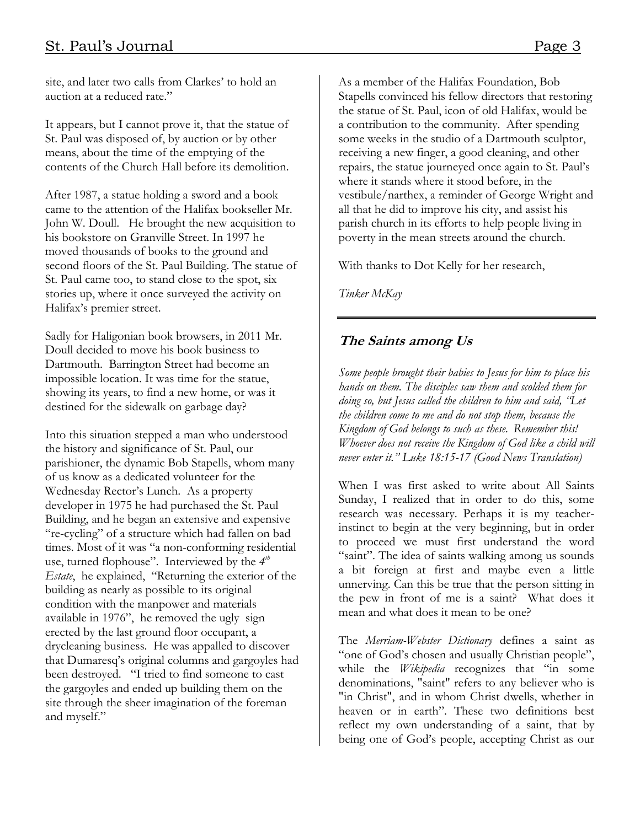site, and later two calls from Clarkes' to hold an auction at a reduced rate."

It appears, but I cannot prove it, that the statue of St. Paul was disposed of, by auction or by other means, about the time of the emptying of the contents of the Church Hall before its demolition.

After 1987, a statue holding a sword and a book came to the attention of the Halifax bookseller Mr. John W. Doull. He brought the new acquisition to his bookstore on Granville Street. In 1997 he moved thousands of books to the ground and second floors of the St. Paul Building. The statue of St. Paul came too, to stand close to the spot, six stories up, where it once surveyed the activity on Halifax's premier street.

Sadly for Haligonian book browsers, in 2011 Mr. Doull decided to move his book business to Dartmouth. Barrington Street had become an impossible location. It was time for the statue, showing its years, to find a new home, or was it destined for the sidewalk on garbage day?

Into this situation stepped a man who understood the history and significance of St. Paul, our parishioner, the dynamic Bob Stapells, whom many of us know as a dedicated volunteer for the Wednesday Rector's Lunch. As a property developer in 1975 he had purchased the St. Paul Building, and he began an extensive and expensive "re-cycling" of a structure which had fallen on bad times. Most of it was "a non-conforming residential use, turned flophouse". Interviewed by the  $4^{th}$ *Estate*, he explained, "Returning the exterior of the building as nearly as possible to its original condition with the manpower and materials available in 1976", he removed the ugly sign erected by the last ground floor occupant, a drycleaning business. He was appalled to discover that Dumaresq's original columns and gargoyles had been destroyed. "I tried to find someone to cast the gargoyles and ended up building them on the site through the sheer imagination of the foreman and myself."

As a member of the Halifax Foundation, Bob Stapells convinced his fellow directors that restoring the statue of St. Paul, icon of old Halifax, would be a contribution to the community. After spending some weeks in the studio of a Dartmouth sculptor, receiving a new finger, a good cleaning, and other repairs, the statue journeyed once again to St. Paul's where it stands where it stood before, in the vestibule/narthex, a reminder of George Wright and all that he did to improve his city, and assist his parish church in its efforts to help people living in poverty in the mean streets around the church.

With thanks to Dot Kelly for her research,

*Tinker McKay* 

### **The Saints among Us**

*Some people brought their babies to Jesus for him to place his hands on them. The disciples saw them and scolded them for doing so, but Jesus called the children to him and said, "Let the children come to me and do not stop them, because the Kingdom of God belongs to such as these. Remember this! Whoever does not receive the Kingdom of God like a child will never enter it." Luke 18:15-17 (Good News Translation)* 

When I was first asked to write about All Saints Sunday, I realized that in order to do this, some research was necessary. Perhaps it is my teacherinstinct to begin at the very beginning, but in order to proceed we must first understand the word "saint". The idea of saints walking among us sounds a bit foreign at first and maybe even a little unnerving. Can this be true that the person sitting in the pew in front of me is a saint? What does it mean and what does it mean to be one?

The *Merriam-Webster Dictionary* defines a saint as "one of God's chosen and usually Christian people", while the *Wikipedia* recognizes that "in some denominations, "saint" refers to any believer who is "in Christ", and in whom Christ dwells, whether in [heaven](http://en.wikipedia.org/wiki/Heaven_(Christianity)) or in earth". These two definitions best reflect my own understanding of a saint, that by being one of God's people, accepting Christ as our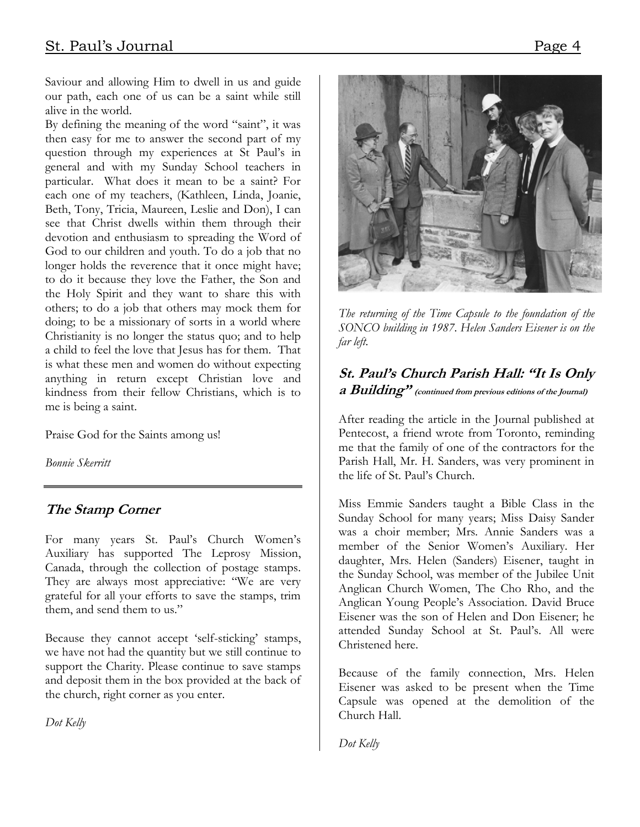Saviour and allowing Him to dwell in us and guide our path, each one of us can be a saint while still alive in the world.

By defining the meaning of the word "saint", it was then easy for me to answer the second part of my question through my experiences at St Paul's in general and with my Sunday School teachers in particular. What does it mean to be a saint? For each one of my teachers, (Kathleen, Linda, Joanie, Beth, Tony, Tricia, Maureen, Leslie and Don), I can see that Christ dwells within them through their devotion and enthusiasm to spreading the Word of God to our children and youth. To do a job that no longer holds the reverence that it once might have; to do it because they love the Father, the Son and the Holy Spirit and they want to share this with others; to do a job that others may mock them for doing; to be a missionary of sorts in a world where Christianity is no longer the status quo; and to help a child to feel the love that Jesus has for them. That is what these men and women do without expecting anything in return except Christian love and kindness from their fellow Christians, which is to me is being a saint.

Praise God for the Saints among us!

*Bonnie Skerritt* 

#### **The Stamp Corner**

For many years St. Paul's Church Women's Auxiliary has supported The Leprosy Mission, Canada, through the collection of postage stamps. They are always most appreciative: "We are very grateful for all your efforts to save the stamps, trim them, and send them to us."

Because they cannot accept 'self-sticking' stamps, we have not had the quantity but we still continue to support the Charity. Please continue to save stamps and deposit them in the box provided at the back of the church, right corner as you enter.

*Dot Kelly* 



*The returning of the Time Capsule to the foundation of the SONCO building in 1987. Helen Sanders Eisener is on the far left.* 

#### **St. Paul's Church Parish Hall: "It Is Only a Building" (continued from previous editions of the Journal)**

After reading the article in the Journal published at Pentecost, a friend wrote from Toronto, reminding me that the family of one of the contractors for the Parish Hall, Mr. H. Sanders, was very prominent in the life of St. Paul's Church.

Miss Emmie Sanders taught a Bible Class in the Sunday School for many years; Miss Daisy Sander was a choir member; Mrs. Annie Sanders was a member of the Senior Women's Auxiliary. Her daughter, Mrs. Helen (Sanders) Eisener, taught in the Sunday School, was member of the Jubilee Unit Anglican Church Women, The Cho Rho, and the Anglican Young People's Association. David Bruce Eisener was the son of Helen and Don Eisener; he attended Sunday School at St. Paul's. All were Christened here.

Because of the family connection, Mrs. Helen Eisener was asked to be present when the Time Capsule was opened at the demolition of the Church Hall.

*Dot Kelly*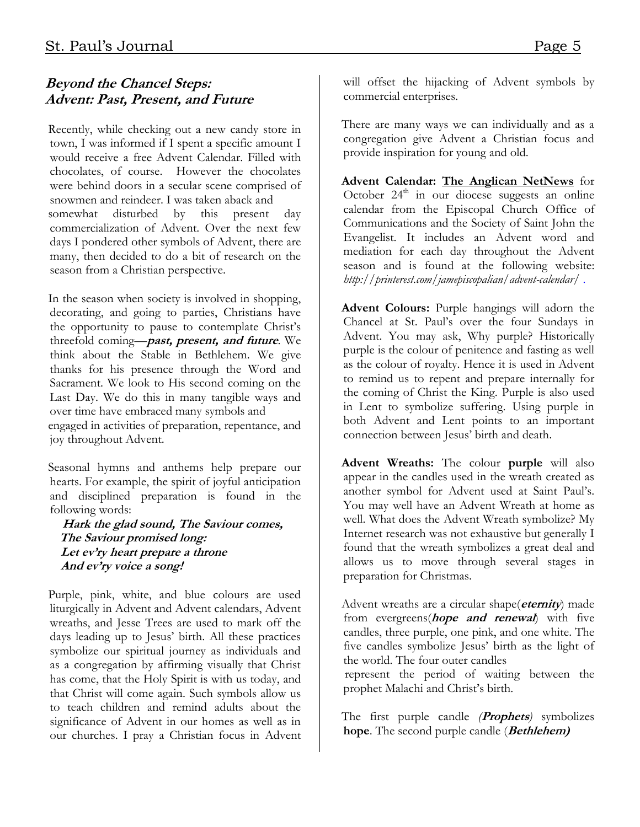# **Beyond the Chancel Steps: Advent: Past, Present, and Future**

Recently, while checking out a new candy store in town, I was informed if I spent a specific amount I would receive a free Advent Calendar. Filled with chocolates, of course. However the chocolates were behind doors in a secular scene comprised of snowmen and reindeer. I was taken aback and somewhat disturbed by this present day commercialization of Advent. Over the next few days I pondered other symbols of Advent, there are many, then decided to do a bit of research on the season from a Christian perspective.

In the season when society is involved in shopping, decorating, and going to parties, Christians have the opportunity to pause to contemplate Christ's threefold coming—**past, present, and future**. We think about the Stable in Bethlehem. We give thanks for his presence through the Word and Sacrament. We look to His second coming on the Last Day. We do this in many tangible ways and over time have embraced many symbols and engaged in activities of preparation, repentance, and

joy throughout Advent. Seasonal hymns and anthems help prepare our

hearts. For example, the spirit of joyful anticipation and disciplined preparation is found in the following words:

 **Hark the glad sound, The Saviour comes, The Saviour promised long: Let ev'ry heart prepare a throne And ev'ry voice a song!** 

Purple, pink, white, and blue colours are used liturgically in Advent and Advent calendars, Advent wreaths, and Jesse Trees are used to mark off the days leading up to Jesus' birth. All these practices symbolize our spiritual journey as individuals and as a congregation by affirming visually that Christ has come, that the Holy Spirit is with us today, and that Christ will come again. Such symbols allow us to teach children and remind adults about the significance of Advent in our homes as well as in our churches. I pray a Christian focus in Advent will offset the hijacking of Advent symbols by commercial enterprises.

There are many ways we can individually and as a congregation give Advent a Christian focus and provide inspiration for young and old.

**Advent Calendar: The Anglican NetNews** for October  $24<sup>th</sup>$  in our diocese suggests an online calendar from the Episcopal Church Office of Communications and the Society of Saint John the Evangelist. It includes an Advent word and mediation for each day throughout the Advent season and is found at the following website: *<http://printerest.com/jamepiscopalian/advent-calendar/>* .

**Advent Colours:** Purple hangings will adorn the Chancel at St. Paul's over the four Sundays in Advent. You may ask, Why purple? Historically purple is the colour of penitence and fasting as well as the colour of royalty. Hence it is used in Advent to remind us to repent and prepare internally for the coming of Christ the King. Purple is also used in Lent to symbolize suffering. Using purple in both Advent and Lent points to an important connection between Jesus' birth and death.

**Advent Wreaths:** The colour **purple** will also appear in the candles used in the wreath created as another symbol for Advent used at Saint Paul's. You may well have an Advent Wreath at home as well. What does the Advent Wreath symbolize? My Internet research was not exhaustive but generally I found that the wreath symbolizes a great deal and allows us to move through several stages in preparation for Christmas.

Advent wreaths are a circular shape(**eternity**) made from evergreens(**hope and renewal**) with five candles, three purple, one pink, and one white. The five candles symbolize Jesus' birth as the light of the world. The four outer candles

 represent the period of waiting between the prophet Malachi and Christ's birth.

The first purple candle *(***Prophets***)* symbolizes **hope**. The second purple candle (**Bethlehem)**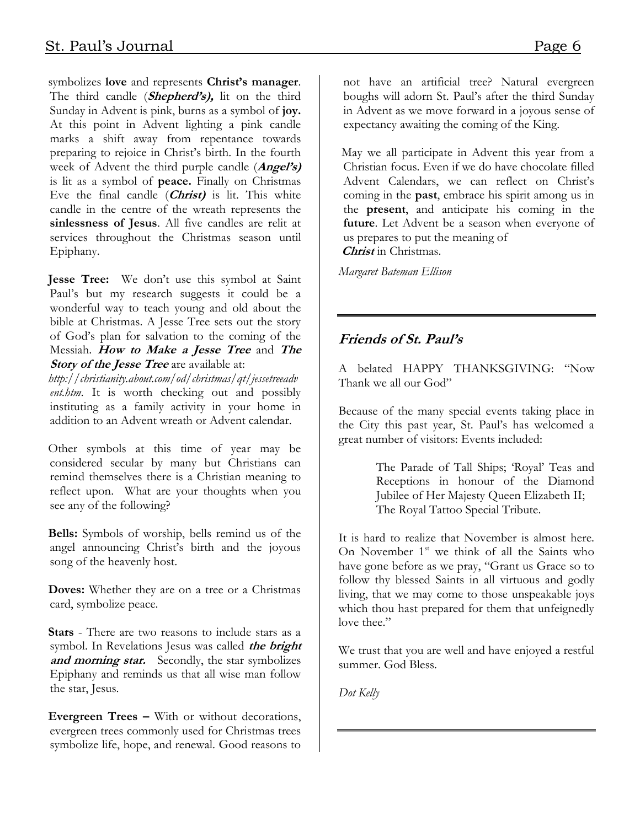symbolizes **love** and represents **Christ's manager**. The third candle (**Shepherd's),** lit on the third Sunday in Advent is pink, burns as a symbol of **joy.** At this point in Advent lighting a pink candle marks a shift away from repentance towards preparing to rejoice in Christ's birth. In the fourth week of Advent the third purple candle (**Angel's)** is lit as a symbol of **peace.** Finally on Christmas Eve the final candle (**Christ)** is lit. This white candle in the centre of the wreath represents the **sinlessness of Jesus**. All five candles are relit at services throughout the Christmas season until Epiphany.

**Jesse Tree:** We don't use this symbol at Saint Paul's but my research suggests it could be a wonderful way to teach young and old about the bible at Christmas. A Jesse Tree sets out the story of God's plan for salvation to the coming of the Messiah. **How to Make a Jesse Tree** and **The Story of the Jesse Tree** are available at:

*[http://christianity.about.com/od/christmas/qt/jessetreeadv](http://christianity.about.com/od/christmas/qt/jessetreeadvent.htm) [ent.htm.](http://christianity.about.com/od/christmas/qt/jessetreeadvent.htm)* It is worth checking out and possibly instituting as a family activity in your home in addition to an Advent wreath or Advent calendar.

Other symbols at this time of year may be considered secular by many but Christians can remind themselves there is a Christian meaning to reflect upon. What are your thoughts when you see any of the following?

**Bells:** Symbols of worship, bells remind us of the angel announcing Christ's birth and the joyous song of the heavenly host.

**Doves:** Whether they are on a tree or a Christmas card, symbolize peace.

**Stars** - There are two reasons to include stars as a symbol. In Revelations Jesus was called **the bright**  and morning star. Secondly, the star symbolizes Epiphany and reminds us that all wise man follow the star, Jesus.

**Evergreen Trees –** With or without decorations, evergreen trees commonly used for Christmas trees symbolize life, hope, and renewal. Good reasons to

not have an artificial tree? Natural evergreen boughs will adorn St. Paul's after the third Sunday in Advent as we move forward in a joyous sense of expectancy awaiting the coming of the King.

May we all participate in Advent this year from a Christian focus. Even if we do have chocolate filled Advent Calendars, we can reflect on Christ's coming in the **past**, embrace his spirit among us in the **present**, and anticipate his coming in the **future**. Let Advent be a season when everyone of us prepares to put the meaning of **Christ** in Christmas.

*Margaret Bateman Ellison* 

### **Friends of St. Paul's**

A belated HAPPY THANKSGIVING: "Now Thank we all our God"

Because of the many special events taking place in the City this past year, St. Paul's has welcomed a great number of visitors: Events included:

> The Parade of Tall Ships; 'Royal' Teas and Receptions in honour of the Diamond Jubilee of Her Majesty Queen Elizabeth II; The Royal Tattoo Special Tribute.

It is hard to realize that November is almost here. On November  $1<sup>st</sup>$  we think of all the Saints who have gone before as we pray, "Grant us Grace so to follow thy blessed Saints in all virtuous and godly living, that we may come to those unspeakable joys which thou hast prepared for them that unfeignedly love thee."

We trust that you are well and have enjoyed a restful summer. God Bless.

*Dot Kelly*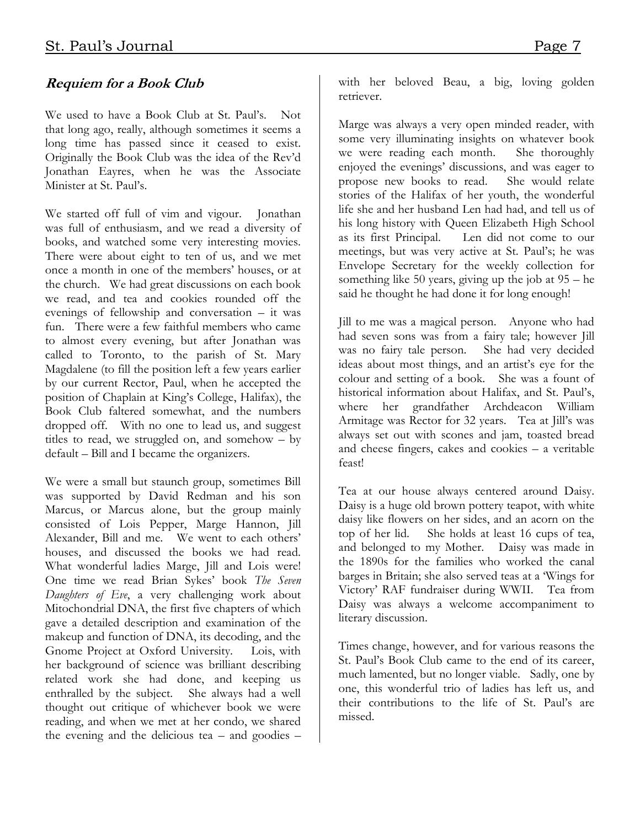### **Requiem for a Book Club**

We used to have a Book Club at St. Paul's. Not that long ago, really, although sometimes it seems a long time has passed since it ceased to exist. Originally the Book Club was the idea of the Rev'd Jonathan Eayres, when he was the Associate Minister at St. Paul's.

We started off full of vim and vigour. Jonathan was full of enthusiasm, and we read a diversity of books, and watched some very interesting movies. There were about eight to ten of us, and we met once a month in one of the members' houses, or at the church. We had great discussions on each book we read, and tea and cookies rounded off the evenings of fellowship and conversation – it was fun. There were a few faithful members who came to almost every evening, but after Jonathan was called to Toronto, to the parish of St. Mary Magdalene (to fill the position left a few years earlier by our current Rector, Paul, when he accepted the position of Chaplain at King's College, Halifax), the Book Club faltered somewhat, and the numbers dropped off. With no one to lead us, and suggest titles to read, we struggled on, and somehow – by default – Bill and I became the organizers.

We were a small but staunch group, sometimes Bill was supported by David Redman and his son Marcus, or Marcus alone, but the group mainly consisted of Lois Pepper, Marge Hannon, Jill Alexander, Bill and me. We went to each others' houses, and discussed the books we had read. What wonderful ladies Marge, Jill and Lois were! One time we read Brian Sykes' book *The Seven Daughters of Eve*, a very challenging work about Mitochondrial DNA, the first five chapters of which gave a detailed description and examination of the makeup and function of DNA, its decoding, and the Gnome Project at Oxford University. Lois, with her background of science was brilliant describing related work she had done, and keeping us enthralled by the subject. She always had a well thought out critique of whichever book we were reading, and when we met at her condo, we shared the evening and the delicious tea – and goodies – with her beloved Beau, a big, loving golden retriever.

Marge was always a very open minded reader, with some very illuminating insights on whatever book<br>we were reading each month. She thoroughly we were reading each month. enjoyed the evenings' discussions, and was eager to propose new books to read. She would relate stories of the Halifax of her youth, the wonderful life she and her husband Len had had, and tell us of his long history with Queen Elizabeth High School<br>as its first Principal. Len did not come to our Len did not come to our meetings, but was very active at St. Paul's; he was Envelope Secretary for the weekly collection for something like 50 years, giving up the job at 95 – he said he thought he had done it for long enough!

Jill to me was a magical person. Anyone who had had seven sons was from a fairy tale; however Jill was no fairy tale person. She had very decided ideas about most things, and an artist's eye for the colour and setting of a book. She was a fount of historical information about Halifax, and St. Paul's, where her grandfather Archdeacon William Armitage was Rector for 32 years. Tea at Jill's was always set out with scones and jam, toasted bread and cheese fingers, cakes and cookies – a veritable feast!

Tea at our house always centered around Daisy. Daisy is a huge old brown pottery teapot, with white daisy like flowers on her sides, and an acorn on the top of her lid. She holds at least 16 cups of tea, and belonged to my Mother. Daisy was made in the 1890s for the families who worked the canal barges in Britain; she also served teas at a 'Wings for Victory' RAF fundraiser during WWII. Tea from Daisy was always a welcome accompaniment to literary discussion.

Times change, however, and for various reasons the St. Paul's Book Club came to the end of its career, much lamented, but no longer viable. Sadly, one by one, this wonderful trio of ladies has left us, and their contributions to the life of St. Paul's are missed.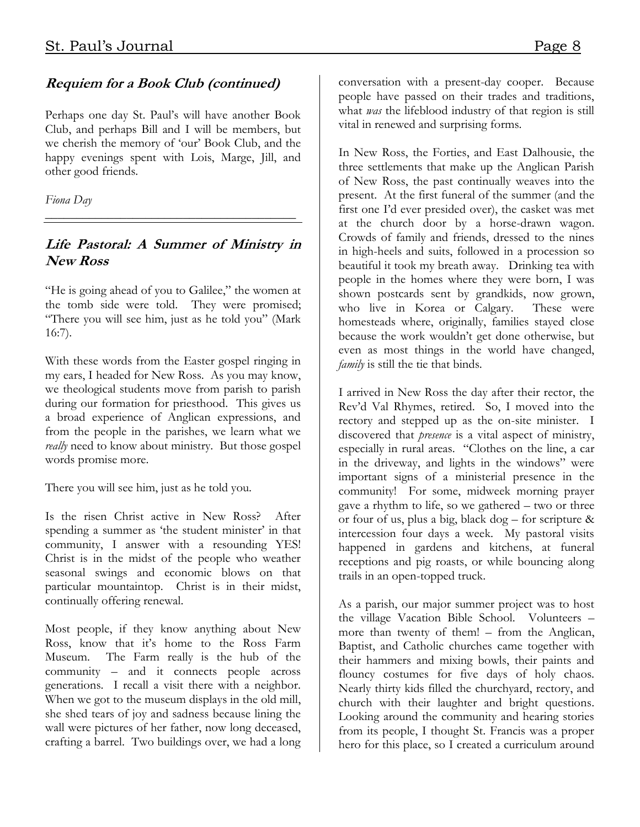#### **Requiem for a Book Club (continued)**

Perhaps one day St. Paul's will have another Book Club, and perhaps Bill and I will be members, but we cherish the memory of 'our' Book Club, and the happy evenings spent with Lois, Marge, Jill, and other good friends.

*Fiona Day* 

#### **Life Pastoral: A Summer of Ministry in New Ross**

*\_\_\_\_\_\_\_\_\_\_\_\_\_\_\_\_\_\_\_\_\_\_\_\_\_\_\_\_\_\_\_\_\_\_\_\_\_\_\_\_* 

"He is going ahead of you to Galilee," the women at the tomb side were told. They were promised; "There you will see him, just as he told you" (Mark 16:7).

With these words from the Easter gospel ringing in my ears, I headed for New Ross. As you may know, we theological students move from parish to parish during our formation for priesthood. This gives us a broad experience of Anglican expressions, and from the people in the parishes, we learn what we *really* need to know about ministry. But those gospel words promise more.

There you will see him, just as he told you.

Is the risen Christ active in New Ross? After spending a summer as 'the student minister' in that community, I answer with a resounding YES! Christ is in the midst of the people who weather seasonal swings and economic blows on that particular mountaintop. Christ is in their midst, continually offering renewal.

Most people, if they know anything about New Ross, know that it's home to the Ross Farm Museum. The Farm really is the hub of the community – and it connects people across generations. I recall a visit there with a neighbor. When we got to the museum displays in the old mill, she shed tears of joy and sadness because lining the wall were pictures of her father, now long deceased, crafting a barrel. Two buildings over, we had a long conversation with a present-day cooper. Because people have passed on their trades and traditions, what *was* the lifeblood industry of that region is still vital in renewed and surprising forms.

In New Ross, the Forties, and East Dalhousie, the three settlements that make up the Anglican Parish of New Ross, the past continually weaves into the present. At the first funeral of the summer (and the first one I'd ever presided over), the casket was met at the church door by a horse-drawn wagon. Crowds of family and friends, dressed to the nines in high-heels and suits, followed in a procession so beautiful it took my breath away. Drinking tea with people in the homes where they were born, I was shown postcards sent by grandkids, now grown, who live in Korea or Calgary. These were homesteads where, originally, families stayed close because the work wouldn't get done otherwise, but even as most things in the world have changed, *family* is still the tie that binds.

I arrived in New Ross the day after their rector, the Rev'd Val Rhymes, retired. So, I moved into the rectory and stepped up as the on-site minister. I discovered that *presence* is a vital aspect of ministry, especially in rural areas. "Clothes on the line, a car in the driveway, and lights in the windows" were important signs of a ministerial presence in the community! For some, midweek morning prayer gave a rhythm to life, so we gathered – two or three or four of us, plus a big, black dog – for scripture & intercession four days a week. My pastoral visits happened in gardens and kitchens, at funeral receptions and pig roasts, or while bouncing along trails in an open-topped truck.

As a parish, our major summer project was to host the village Vacation Bible School. Volunteers – more than twenty of them! – from the Anglican, Baptist, and Catholic churches came together with their hammers and mixing bowls, their paints and flouncy costumes for five days of holy chaos. Nearly thirty kids filled the churchyard, rectory, and church with their laughter and bright questions. Looking around the community and hearing stories from its people, I thought St. Francis was a proper hero for this place, so I created a curriculum around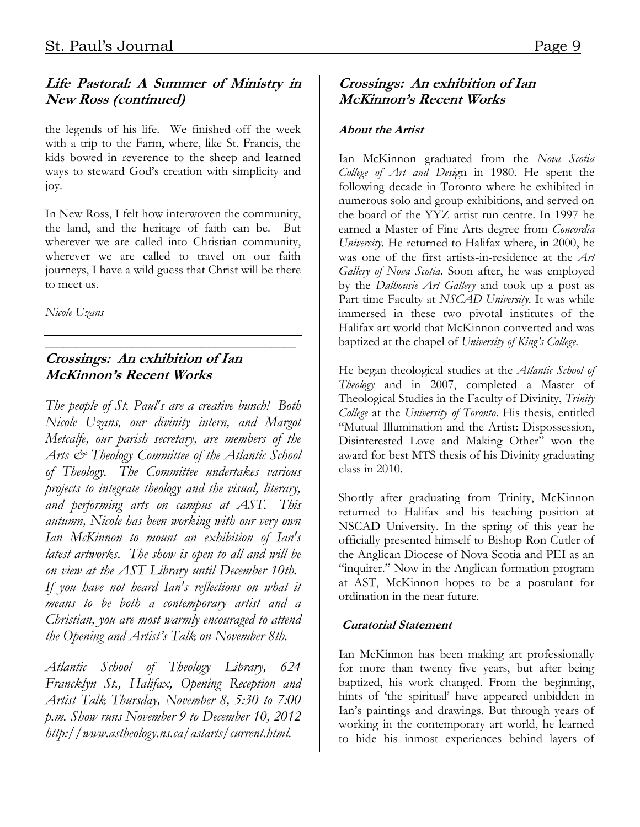# **Life Pastoral: A Summer of Ministry in New Ross (continued)**

the legends of his life. We finished off the week with a trip to the Farm, where, like St. Francis, the kids bowed in reverence to the sheep and learned ways to steward God's creation with simplicity and joy.

In New Ross, I felt how interwoven the community, the land, and the heritage of faith can be. But wherever we are called into Christian community, wherever we are called to travel on our faith journeys, I have a wild guess that Christ will be there to meet us.

*Nicole Uzans* 

#### $\overline{\phantom{a}}$  , where  $\overline{\phantom{a}}$  , where  $\overline{\phantom{a}}$  ,  $\overline{\phantom{a}}$  ,  $\overline{\phantom{a}}$  ,  $\overline{\phantom{a}}$  ,  $\overline{\phantom{a}}$  ,  $\overline{\phantom{a}}$  ,  $\overline{\phantom{a}}$  ,  $\overline{\phantom{a}}$  ,  $\overline{\phantom{a}}$  ,  $\overline{\phantom{a}}$  ,  $\overline{\phantom{a}}$  ,  $\overline{\phantom{a}}$  ,  $\overline{\phantom{a}}$  , **Crossings: An exhibition of Ian McKinnon's Recent Works**

*The people of St. Paul's are a creative bunch! Both Nicole Uzans, our divinity intern, and Margot Metcalfe, our parish secretary, are members of the Arts & Theology Committee of the Atlantic School of Theology. The Committee undertakes various projects to integrate theology and the visual, literary, and performing arts on campus at AST. This autumn, Nicole has been working with our very own Ian McKinnon to mount an exhibition of Ian's latest artworks. The show is open to all and will be on view at the AST Library until December 10th. If you have not heard Ian's reflections on what it means to be both a contemporary artist and a Christian, you are most warmly encouraged to attend the Opening and Artist's Talk on November 8th.* 

*Atlantic School of Theology Library, 624 Francklyn St., Halifax, Opening Reception and Artist Talk Thursday, November 8, 5:30 to 7:00 p.m. Show runs November 9 to December 10, 2012 [http://www.astheology.ns.ca/astarts/current.html.](http://www.astheology.ns.ca/astarts/current.html)* 

### **Crossings: An exhibition of Ian McKinnon's Recent Works**

#### **About the Artist**

Ian McKinnon graduated from the *Nova Scotia College of Art and Desi*gn in 1980. He spent the following decade in Toronto where he exhibited in numerous solo and group exhibitions, and served on the board of the YYZ artist-run centre. In 1997 he earned a Master of Fine Arts degree from *Concordia University*. He returned to Halifax where, in 2000, he was one of the first artists-in-residence at the *Art Gallery of Nova Scotia*. Soon after, he was employed by the *Dalhousie Art Gallery* and took up a post as Part-time Faculty at *NSCAD University*. It was while immersed in these two pivotal institutes of the Halifax art world that McKinnon converted and was baptized at the chapel of *University of King's College.*

He began theological studies at the *Atlantic School of Theology* and in 2007, completed a Master of Theological Studies in the Faculty of Divinity, *Trinity College* at the *University of Toronto*. His thesis, entitled "Mutual Illumination and the Artist: Dispossession, Disinterested Love and Making Other" won the award for best MTS thesis of his Divinity graduating class in 2010.

Shortly after graduating from Trinity, McKinnon returned to Halifax and his teaching position at NSCAD University. In the spring of this year he officially presented himself to Bishop Ron Cutler of the Anglican Diocese of Nova Scotia and PEI as an "inquirer." Now in the Anglican formation program at AST, McKinnon hopes to be a postulant for ordination in the near future.

#### **Curatorial Statement**

Ian McKinnon has been making art professionally for more than twenty five years, but after being baptized, his work changed. From the beginning, hints of 'the spiritual' have appeared unbidden in Ian's paintings and drawings. But through years of working in the contemporary art world, he learned to hide his inmost experiences behind layers of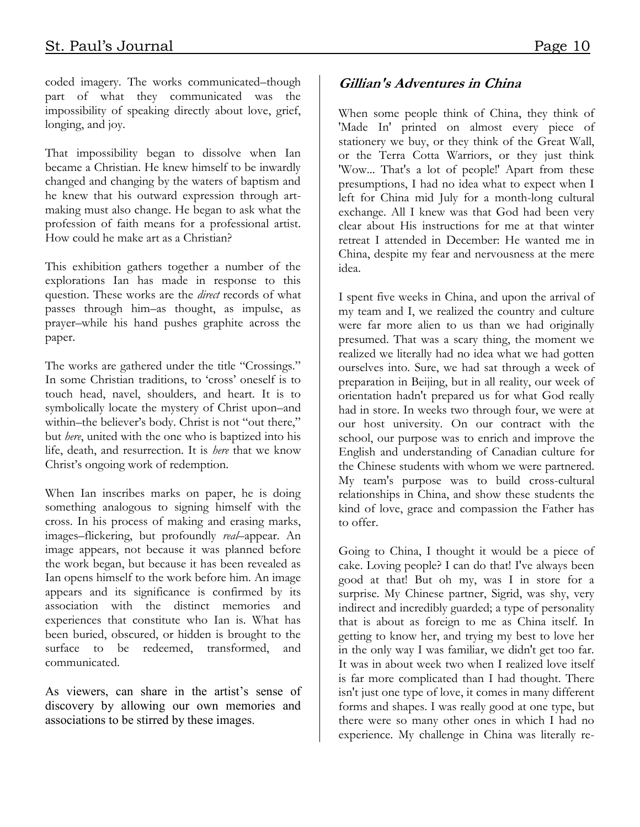coded imagery. The works communicated–though part of what they communicated was the impossibility of speaking directly about love, grief, longing, and joy.

That impossibility began to dissolve when Ian became a Christian. He knew himself to be inwardly changed and changing by the waters of baptism and he knew that his outward expression through artmaking must also change. He began to ask what the profession of faith means for a professional artist. How could he make art as a Christian?

This exhibition gathers together a number of the explorations Ian has made in response to this question. These works are the *direct* records of what passes through him–as thought, as impulse, as prayer–while his hand pushes graphite across the paper.

The works are gathered under the title "Crossings." In some Christian traditions, to 'cross' oneself is to touch head, navel, shoulders, and heart. It is to symbolically locate the mystery of Christ upon–and within–the believer's body. Christ is not "out there," but *here*, united with the one who is baptized into his life, death, and resurrection. It is *here* that we know Christ's ongoing work of redemption.

When Ian inscribes marks on paper, he is doing something analogous to signing himself with the cross. In his process of making and erasing marks, images–flickering, but profoundly *real*–appear. An image appears, not because it was planned before the work began, but because it has been revealed as Ian opens himself to the work before him. An image appears and its significance is confirmed by its association with the distinct memories and experiences that constitute who Ian is. What has been buried, obscured, or hidden is brought to the surface to be redeemed, transformed, and communicated.

As viewers, can share in the artist's sense of discovery by allowing our own memories and associations to be stirred by these images.

# **Gillian's Adventures in China**

When some people think of China, they think of 'Made In' printed on almost every piece of stationery we buy, or they think of the Great Wall, or the Terra Cotta Warriors, or they just think 'Wow... That's a lot of people!' Apart from these presumptions, I had no idea what to expect when I left for China mid July for a month-long cultural exchange. All I knew was that God had been very clear about His instructions for me at that winter retreat I attended in December: He wanted me in China, despite my fear and nervousness at the mere idea.

I spent five weeks in China, and upon the arrival of my team and I, we realized the country and culture were far more alien to us than we had originally presumed. That was a scary thing, the moment we realized we literally had no idea what we had gotten ourselves into. Sure, we had sat through a week of preparation in Beijing, but in all reality, our week of orientation hadn't prepared us for what God really had in store. In weeks two through four, we were at our host university. On our contract with the school, our purpose was to enrich and improve the English and understanding of Canadian culture for the Chinese students with whom we were partnered. My team's purpose was to build cross-cultural relationships in China, and show these students the kind of love, grace and compassion the Father has to offer.

Going to China, I thought it would be a piece of cake. Loving people? I can do that! I've always been good at that! But oh my, was I in store for a surprise. My Chinese partner, Sigrid, was shy, very indirect and incredibly guarded; a type of personality that is about as foreign to me as China itself. In getting to know her, and trying my best to love her in the only way I was familiar, we didn't get too far. It was in about week two when I realized love itself is far more complicated than I had thought. There isn't just one type of love, it comes in many different forms and shapes. I was really good at one type, but there were so many other ones in which I had no experience. My challenge in China was literally re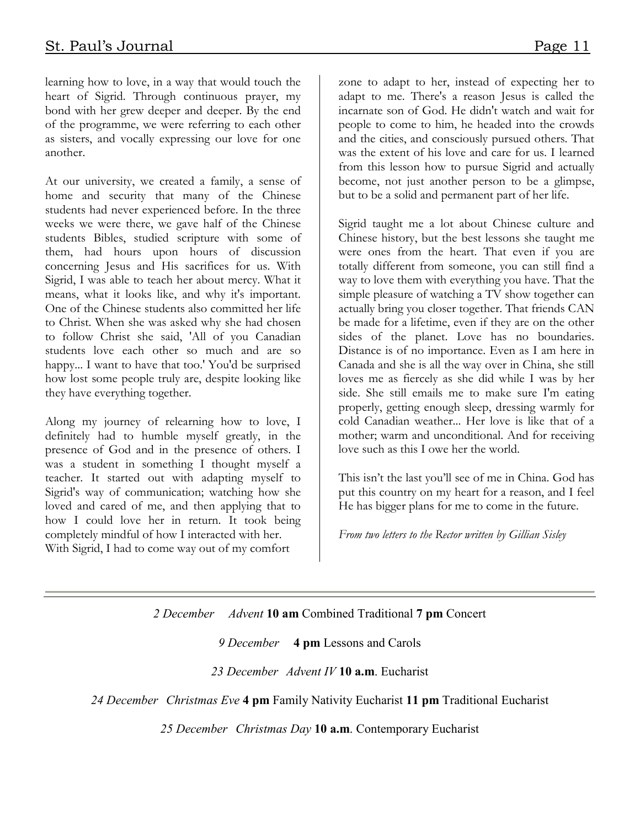learning how to love, in a way that would touch the heart of Sigrid. Through continuous prayer, my bond with her grew deeper and deeper. By the end of the programme, we were referring to each other as sisters, and vocally expressing our love for one another.

At our university, we created a family, a sense of home and security that many of the Chinese students had never experienced before. In the three weeks we were there, we gave half of the Chinese students Bibles, studied scripture with some of them, had hours upon hours of discussion concerning Jesus and His sacrifices for us. With Sigrid, I was able to teach her about mercy. What it means, what it looks like, and why it's important. One of the Chinese students also committed her life to Christ. When she was asked why she had chosen to follow Christ she said, 'All of you Canadian students love each other so much and are so happy... I want to have that too.' You'd be surprised how lost some people truly are, despite looking like they have everything together.

Along my journey of relearning how to love, I definitely had to humble myself greatly, in the presence of God and in the presence of others. I was a student in something I thought myself a teacher. It started out with adapting myself to Sigrid's way of communication; watching how she loved and cared of me, and then applying that to how I could love her in return. It took being completely mindful of how I interacted with her. With Sigrid, I had to come way out of my comfort

zone to adapt to her, instead of expecting her to adapt to me. There's a reason Jesus is called the incarnate son of God. He didn't watch and wait for people to come to him, he headed into the crowds and the cities, and consciously pursued others. That was the extent of his love and care for us. I learned from this lesson how to pursue Sigrid and actually become, not just another person to be a glimpse, but to be a solid and permanent part of her life.

Sigrid taught me a lot about Chinese culture and Chinese history, but the best lessons she taught me were ones from the heart. That even if you are totally different from someone, you can still find a way to love them with everything you have. That the simple pleasure of watching a TV show together can actually bring you closer together. That friends CAN be made for a lifetime, even if they are on the other sides of the planet. Love has no boundaries. Distance is of no importance. Even as I am here in Canada and she is all the way over in China, she still loves me as fiercely as she did while I was by her side. She still emails me to make sure I'm eating properly, getting enough sleep, dressing warmly for cold Canadian weather... Her love is like that of a mother; warm and unconditional. And for receiving love such as this I owe her the world.

This isn't the last you'll see of me in China. God has put this country on my heart for a reason, and I feel He has bigger plans for me to come in the future.

*From two letters to the Rector written by Gillian Sisley* 

#### *2 December Advent* **10 am** Combined Traditional **7 pm** Concert

*9 December* **4 pm** Lessons and Carols

*23 December Advent IV* **10 a.m**. Eucharist

*24 December Christmas Eve* **4 pm** Family Nativity Eucharist **11 pm** Traditional Eucharist

*25 December Christmas Day* **10 a.m**. Contemporary Eucharist